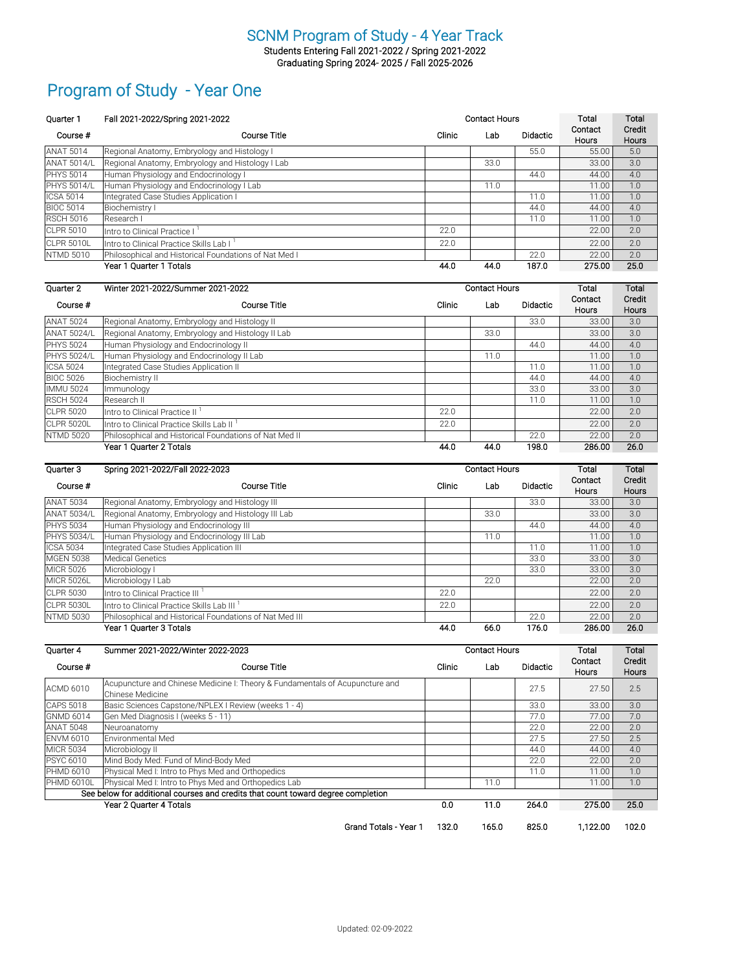Students Entering Fall 2021-2022 / Spring 2021-2022 Graduating Spring 2024- 2025 / Fall 2025-2026

# Program of Study - Year One

| <b>Ouarter 1</b>   | Fall 2021-2022/Spring 2021-2022                       | <b>Contact Hours</b> |      |                 | Total                   | Total                  |
|--------------------|-------------------------------------------------------|----------------------|------|-----------------|-------------------------|------------------------|
| Course #           | Course Title                                          | Clinic               | Lab  | <b>Didactic</b> | Contact<br><b>Hours</b> | Credit<br><b>Hours</b> |
| <b>ANAT 5014</b>   | Regional Anatomy, Embryology and Histology I          |                      |      | 55.0            | 55.00                   | 5.0                    |
| <b>ANAT 5014/L</b> | Regional Anatomy, Embryology and Histology I Lab      |                      | 33.0 |                 | 33.00                   | 3.0                    |
| <b>IPHYS 5014</b>  | Human Physiology and Endocrinology I                  |                      |      | 44.0            | 44.00                   | 4.0                    |
| <b>PHYS 5014/L</b> | Human Physiology and Endocrinology I Lab              |                      | 11.0 |                 | 11.00                   | 1.0                    |
| <b>ICSA 5014</b>   | Integrated Case Studies Application I                 |                      |      | 11.0            | 11.00                   | 1.0                    |
| <b>BIOC 5014</b>   | Biochemistry I                                        |                      |      | 44.0            | 44.00                   | 4.0                    |
| <b>RSCH 5016</b>   | lResearch I                                           |                      |      | 11.0            | 11.00                   | 1.0                    |
| <b>CLPR 5010</b>   | Intro to Clinical Practice I                          | 22.0                 |      |                 | 22.00                   | 2.0                    |
| CLPR 5010L         | lIntro to Clinical Practice Skills Lab I              | 22.0                 |      |                 | 22.00                   | 2.0                    |
| NTMD 5010          | Philosophical and Historical Foundations of Nat Med I |                      |      | 22.0            | 22.00                   | 2.0                    |
|                    | Year 1 Quarter 1 Totals                               | 44.0                 | 44.0 | 187.0           | 275.00                  | 25.0                   |

| Quarter 2          | Winter 2021-2022/Summer 2021-2022                      |        | <b>Contact Hours</b> |                 |                         |                        |
|--------------------|--------------------------------------------------------|--------|----------------------|-----------------|-------------------------|------------------------|
| Course #           | Course Title                                           | Clinic | Lab                  | <b>Didactic</b> | Contact<br><b>Hours</b> | Credit<br><b>Hours</b> |
| <b>ANAT 5024</b>   | Regional Anatomy, Embryology and Histology II          |        |                      | 33.0            | 33.00                   | 3.0                    |
| <b>ANAT 5024/L</b> | Regional Anatomy, Embryology and Histology II Lab      |        | 33.0                 |                 | 33.00                   | 3.0                    |
| <b>PHYS 5024</b>   | Human Physiology and Endocrinology II                  |        |                      | 44.0            | 44.00                   | 4.0                    |
| <b>PHYS 5024/L</b> | Human Physiology and Endocrinology II Lab              |        | 11.0                 |                 | 11.00                   | 1.0                    |
| <b>ICSA 5024</b>   | Integrated Case Studies Application II                 |        |                      | 11.0            | 11.00                   | 1.0                    |
| <b>BIOC 5026</b>   | Biochemistry II                                        |        |                      | 44.0            | 44.00                   | 4.0                    |
| <b>IMMU 5024</b>   | Immunology                                             |        |                      | 33.0            | 33.00                   | 3.0                    |
| <b>RSCH 5024</b>   | <b>Research II</b>                                     |        |                      | 11.0            | 11.00                   | 1.0                    |
| <b>CLPR 5020</b>   | Intro to Clinical Practice II                          | 22.0   |                      |                 | 22.00                   | 2.0                    |
| <b>CLPR 5020L</b>  | Intro to Clinical Practice Skills Lab II <sup>1</sup>  | 22.0   |                      |                 | 22.00                   | 2.0                    |
| <b>NTMD 5020</b>   | Philosophical and Historical Foundations of Nat Med II |        |                      | 22.0            | 22.00                   | 2.0                    |
|                    | Year 1 Quarter 2 Totals                                | 44.0   | 44.0                 | 198.0           | 286.00                  | 26.0                   |

| Quarter 3          | Spring 2021-2022/Fall 2022-2023                         |        | <b>Contact Hours</b> |                 | Total                   | Total                  |
|--------------------|---------------------------------------------------------|--------|----------------------|-----------------|-------------------------|------------------------|
| Course #           | Course Title                                            | Clinic | Lab                  | <b>Didactic</b> | Contact<br><b>Hours</b> | Credit<br><b>Hours</b> |
| <b>ANAT 5034</b>   | Regional Anatomy, Embryology and Histology III          |        |                      | 33.0            | 33.00                   | 3.0                    |
| <b>ANAT 5034/L</b> | Regional Anatomy, Embryology and Histology III Lab      |        | 33.0                 |                 | 33.00                   | 3.0                    |
| <b>PHYS 5034</b>   | Human Physiology and Endocrinology III                  |        |                      | 44.0            | 44.00                   | 4.0                    |
| <b>PHYS 5034/L</b> | Human Physiology and Endocrinology III Lab              |        | 11.0                 |                 | 11.00                   | 1.0                    |
| <b>ICSA 5034</b>   | Integrated Case Studies Application III                 |        |                      | 11.0            | 11.00                   | 1.0                    |
| <b>MGEN 5038</b>   | Medical Genetics                                        |        |                      | 33.0            | 33.00                   | 3.0                    |
| <b>MICR 5026</b>   | Microbiology I                                          |        |                      | 33.0            | 33.00                   | 3.0                    |
| <b>MICR 5026L</b>  | Microbiology I Lab                                      |        | 22.0                 |                 | 22.00                   | 2.0                    |
| <b>CLPR 5030</b>   | Intro to Clinical Practice III                          | 22.0   |                      |                 | 22.00                   | 2.0                    |
| <b>CLPR 5030L</b>  | Intro to Clinical Practice Skills Lab III <sup>1</sup>  | 22.0   |                      |                 | 22.00                   | 2.0                    |
| <b>NTMD 5030</b>   | Philosophical and Historical Foundations of Nat Med III |        |                      | 22.0            | 22.00                   | 2.0                    |
|                    | Year 1 Quarter 3 Totals                                 | 44.0   | 66.0                 | 176.0           | 286.00                  | 26.0                   |

| Quarter 4         | Summer 2021-2022/Winter 2022-2023                                                                |        | <b>Contact Hours</b> |                 | Total            | Total           |
|-------------------|--------------------------------------------------------------------------------------------------|--------|----------------------|-----------------|------------------|-----------------|
| Course #          | Course Title                                                                                     | Clinic | Lab                  | <b>Didactic</b> | Contact<br>Hours | Credit<br>Hours |
| <b>ACMD 6010</b>  | Acupuncture and Chinese Medicine I: Theory & Fundamentals of Acupuncture and<br>Chinese Medicine |        |                      | 27.5            | 27.50            | 2.5             |
| <b>CAPS 5018</b>  | Basic Sciences Capstone/NPLEX I Review (weeks 1 - 4)                                             |        |                      | 33.0            | 33.00            | 3.0             |
| <b>GNMD 6014</b>  | Gen Med Diagnosis I (weeks 5 - 11)                                                               |        |                      | 77.0            | 77.00            | 7.0             |
| <b>ANAT 5048</b>  | Neuroanatomy                                                                                     |        |                      | 22.0            | 22.00            | 2.0             |
| <b>ENVM 6010</b>  | Environmental Med                                                                                |        |                      | 27.5            | 27.50            | 2.5             |
| <b>MICR 5034</b>  | Microbiology II                                                                                  |        |                      | 44.0            | 44.00            | 4.0             |
| <b>PSYC 6010</b>  | Mind Body Med: Fund of Mind-Body Med                                                             |        |                      | 22.0            | 22.00            | 2.0             |
| <b>PHMD 6010</b>  | Physical Med I: Intro to Phys Med and Orthopedics                                                |        |                      | 11.0            | 11.00            | 1.0             |
| <b>PHMD 6010L</b> | Physical Med I: Intro to Phys Med and Orthopedics Lab                                            |        | 11.0                 |                 | 11.00            | 1.0             |
|                   | See below for additional courses and credits that count toward degree completion                 |        |                      |                 |                  |                 |
|                   | Year 2 Ouarter 4 Totals                                                                          | 0.0    | 11.0                 | 264.0           | 275.00           | 25.0            |
|                   | <b>Grand Totals - Year 1</b>                                                                     | 132.0  | 165.0                | 825.0           | 1.122.00         | 102.0           |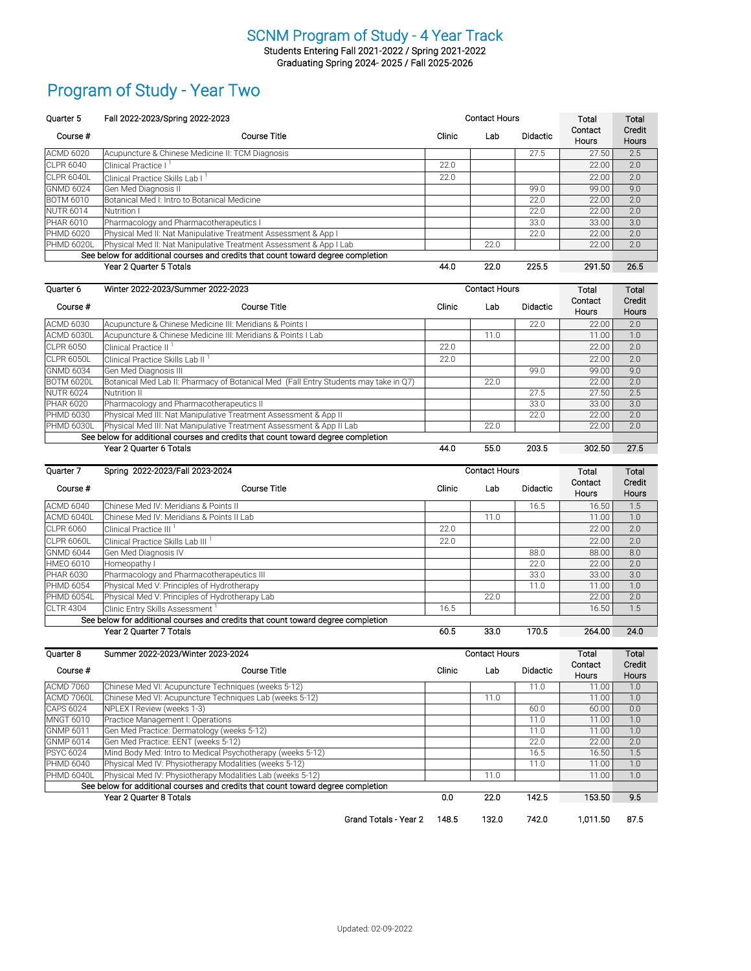Students Entering Fall 2021-2022 / Spring 2021-2022 Graduating Spring 2024- 2025 / Fall 2025-2026

## Program of Study - Year Two

| Ouarter 5         | Fall 2022-2023/Spring 2022-2023                                                  | <b>Contact Hours</b> |      |                 | Total                   | Total                  |
|-------------------|----------------------------------------------------------------------------------|----------------------|------|-----------------|-------------------------|------------------------|
| Course #          | <b>Course Title</b>                                                              | Clinic               | Lab  | <b>Didactic</b> | Contact<br><b>Hours</b> | Credit<br><b>Hours</b> |
| <b>ACMD 6020</b>  | Acupuncture & Chinese Medicine II: TCM Diagnosis                                 |                      |      | 27.5            | 27.50                   | 2.5                    |
| <b>CLPR 6040</b>  | <b>Clinical Practice I</b>                                                       | 22.0                 |      |                 | 22.00                   | 2.0                    |
| CLPR 6040L        | Clinical Practice Skills Lab I                                                   | 22.0                 |      |                 | 22.00                   | 2.0                    |
| <b>GNMD 6024</b>  | Gen Med Diagnosis II                                                             |                      |      | 99.0            | 99.00                   | 9.0                    |
| <b>BOTM 6010</b>  | Botanical Med I: Intro to Botanical Medicine                                     |                      |      | 22.0            | 22.00                   | 2.0                    |
| <b>NUTR 6014</b>  | Nutrition I                                                                      |                      |      | 22.0            | 22.00                   | 2.0                    |
| <b>PHAR 6010</b>  | Pharmacology and Pharmacotherapeutics I                                          |                      |      | 33.0            | 33.00                   | 3.0                    |
| <b>PHMD 6020</b>  | Physical Med II: Nat Manipulative Treatment Assessment & App I                   |                      |      | 22.0            | 22.00                   | 2.0                    |
| <b>PHMD 6020L</b> | Physical Med II: Nat Manipulative Treatment Assessment & App I Lab               |                      | 22.0 |                 | 22.00                   | 2.0                    |
|                   | See below for additional courses and credits that count toward degree completion |                      |      |                 |                         |                        |
|                   | Year 2 Ouarter 5 Totals                                                          | 44.0                 | 22.0 | 225.5           | 291.50                  | 26.5                   |

| Quarter 6                                                                        | Winter 2022-2023/Summer 2022-2023                                                    | <b>Contact Hours</b> |      |                 | Total                   | Total                  |
|----------------------------------------------------------------------------------|--------------------------------------------------------------------------------------|----------------------|------|-----------------|-------------------------|------------------------|
| Course #                                                                         | Course Title                                                                         | Clinic               | Lab  | <b>Didactic</b> | Contact<br><b>Hours</b> | Credit<br><b>Hours</b> |
| <b>ACMD 6030</b>                                                                 | Acupuncture & Chinese Medicine III: Meridians & Points I                             |                      |      | 22.0            | 22.00                   | 2.0                    |
| ACMD 6030L                                                                       | Acupuncture & Chinese Medicine III: Meridians & Points I Lab                         |                      | 11.0 |                 | 11.00                   | 1.0                    |
| <b>CLPR 6050</b>                                                                 | Clinical Practice II <sup>1</sup>                                                    | 22.0                 |      |                 | 22.00                   | 2.0                    |
| CLPR 6050L                                                                       | Clinical Practice Skills Lab II                                                      | 22.0                 |      |                 | 22.00                   | 2.0                    |
| <b>GNMD 6034</b>                                                                 | Gen Med Diagnosis III                                                                |                      |      | 99.0            | 99.00                   | 9.0                    |
| <b>BOTM 6020L</b>                                                                | Botanical Med Lab II: Pharmacy of Botanical Med (Fall Entry Students may take in Q7) |                      | 22.0 |                 | 22.00                   | 2.0                    |
| <b>NUTR 6024</b>                                                                 | Nutrition II                                                                         |                      |      | 27.5            | 27.50                   | 2.5                    |
| <b>PHAR 6020</b>                                                                 | Pharmacology and Pharmacotherapeutics II                                             |                      |      | 33.0            | 33.00                   | 3.0                    |
| <b>PHMD 6030</b>                                                                 | Physical Med III: Nat Manipulative Treatment Assessment & App II                     |                      |      | 22.0            | 22.00                   | 2.0                    |
| PHMD 6030L                                                                       | Physical Med III: Nat Manipulative Treatment Assessment & App II Lab                 |                      | 22.0 |                 | 22.00                   | 2.0                    |
| See below for additional courses and credits that count toward degree completion |                                                                                      |                      |      |                 |                         |                        |
|                                                                                  | Year 2 Ouarter 6 Totals                                                              | 44.0                 | 55.0 | 203.5           | 302.50                  | 27.5                   |

| Quarter 7         | Spring 2022-2023/Fall 2023-2024                                                  |        | <b>Contact Hours</b> | Total           | Total                   |                        |
|-------------------|----------------------------------------------------------------------------------|--------|----------------------|-----------------|-------------------------|------------------------|
| Course #          | Course Title                                                                     | Clinic | Lab                  | <b>Didactic</b> | Contact<br><b>Hours</b> | Credit<br><b>Hours</b> |
| <b>ACMD 6040</b>  | Chinese Med IV: Meridians & Points II                                            |        |                      | 16.5            | 16.50                   | 1.5                    |
| ACMD 6040L        | Chinese Med IV: Meridians & Points II Lab                                        |        | 11.0                 |                 | 11.00                   | 1.0                    |
| <b>CLPR 6060</b>  | Clinical Practice III                                                            | 22.0   |                      |                 | 22.00                   | 2.0                    |
| CLPR 6060L        | Clinical Practice Skills Lab III                                                 | 22.0   |                      |                 | 22.00                   | 2.0                    |
| <b>GNMD 6044</b>  | Gen Med Diagnosis IV                                                             |        |                      | 88.0            | 88.00                   | 8.0                    |
| <b>HMEO 6010</b>  | Homeopathy I                                                                     |        |                      | 22.0            | 22.00                   | 2.0                    |
| <b>PHAR 6030</b>  | Pharmacology and Pharmacotherapeutics III                                        |        |                      | 33.0            | 33.00                   | 3.0                    |
| PHMD 6054         | Physical Med V: Principles of Hydrotherapy                                       |        |                      | 11.0            | 11.00                   | 1.0                    |
| <b>PHMD 6054L</b> | Physical Med V: Principles of Hydrotherapy Lab                                   |        | 22.0                 |                 | 22.00                   | 2.0                    |
| <b>CLTR 4304</b>  | Clinic Entry Skills Assessment <sup>1</sup>                                      | 16.5   |                      |                 | 16.50                   | 1.5                    |
|                   | See below for additional courses and credits that count toward degree completion |        |                      |                 |                         |                        |
|                   | Year 2 Quarter 7 Totals                                                          | 60.5   | 33.0                 | 170.5           | 264.00                  | 24.0                   |

| <b>Ouarter 8</b> | Summer 2022-2023/Winter 2023-2024                                                | <b>Contact Hours</b> |       |                 | Total                   | Total                  |
|------------------|----------------------------------------------------------------------------------|----------------------|-------|-----------------|-------------------------|------------------------|
| Course #         | Course Title                                                                     | Clinic               | Lab   | <b>Didactic</b> | Contact<br><b>Hours</b> | Credit<br><b>Hours</b> |
| <b>ACMD 7060</b> | Chinese Med VI: Acupuncture Techniques (weeks 5-12)                              |                      |       | 11.0            | 11.00                   | 1.0                    |
| ACMD 7060L       | Chinese Med VI: Acupuncture Techniques Lab (weeks 5-12)                          |                      | 11.0  |                 | 11.00                   | 1.0                    |
| <b>CAPS 6024</b> | NPLEX I Review (weeks 1-3)                                                       |                      |       | 60.0            | 60.00                   | 0.0                    |
| <b>MNGT 6010</b> | Practice Management I: Operations                                                |                      |       | 11.0            | 11.00                   | 1.0                    |
| <b>GNMP 6011</b> | Gen Med Practice: Dermatology (weeks 5-12)                                       |                      |       | 11.0            | 11.00                   | 1.0                    |
| <b>GNMP 6014</b> | Gen Med Practice: EENT (weeks 5-12)                                              |                      |       | 22.0            | 22.00                   | 2.0                    |
| <b>PSYC 6024</b> | Mind Body Med: Intro to Medical Psychotherapy (weeks 5-12)                       |                      |       | 16.5            | 16.50                   | 1.5                    |
| <b>PHMD 6040</b> | Physical Med IV: Physiotherapy Modalities (weeks 5-12)                           |                      |       | 11.0            | 11.00                   | 1.0                    |
| PHMD 6040L       | Physical Med IV: Physiotherapy Modalities Lab (weeks 5-12)                       |                      | 11.0  |                 | 11.00                   | 1.0                    |
|                  | See below for additional courses and credits that count toward degree completion |                      |       |                 |                         |                        |
|                  | Year 2 Quarter 8 Totals                                                          | 0.0                  | 22.0  | 142.5           | 153.50                  | 9.5                    |
|                  | Grand Totals - Year 2                                                            | 148.5                | 132.0 | 742.0           | 1,011.50                | 87.5                   |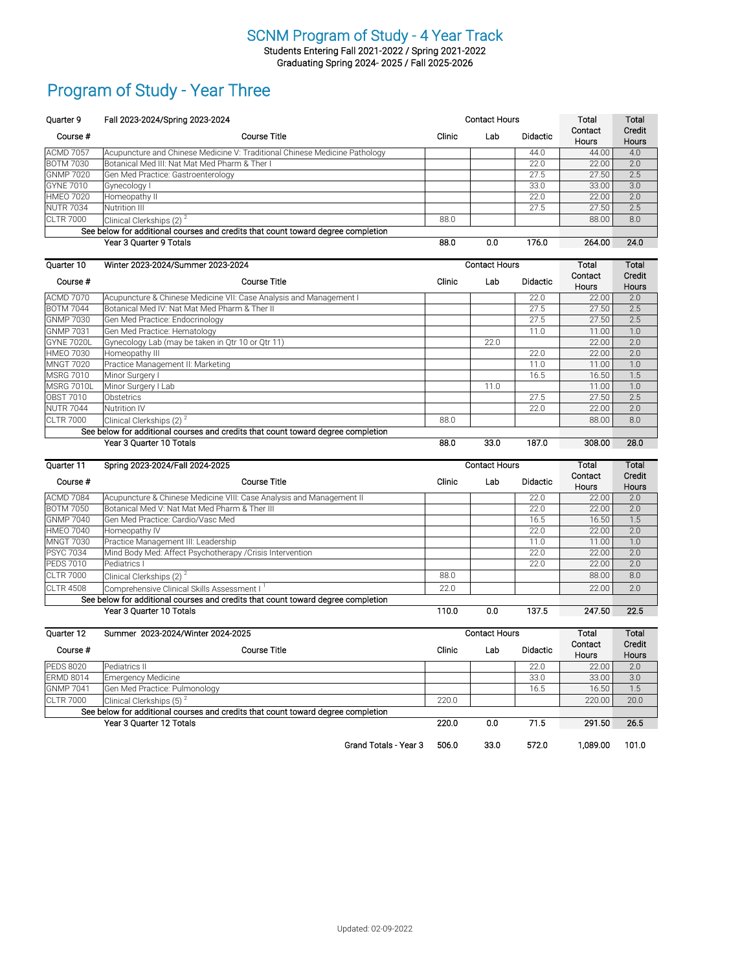Students Entering Fall 2021-2022 / Spring 2021-2022 Graduating Spring 2024- 2025 / Fall 2025-2026

### Program of Study - Year Three

| <b>Quarter 9</b>                                                                 | Fall 2023-2024/Spring 2023-2024                                            | <b>Contact Hours</b> |     |                 | Total                   | Total                  |
|----------------------------------------------------------------------------------|----------------------------------------------------------------------------|----------------------|-----|-----------------|-------------------------|------------------------|
| Course #                                                                         | Course Title                                                               | Clinic               | Lab | <b>Didactic</b> | Contact<br><b>Hours</b> | Credit<br><b>Hours</b> |
| <b>ACMD 7057</b>                                                                 | Acupuncture and Chinese Medicine V: Traditional Chinese Medicine Pathology |                      |     | 44.0            | 44.00                   | 4.0                    |
| <b>BOTM 7030</b>                                                                 | Botanical Med III: Nat Mat Med Pharm & Ther I                              |                      |     | 22.0            | 22.00                   | 2.0                    |
| <b>GNMP 7020</b>                                                                 | Gen Med Practice: Gastroenterology                                         |                      |     | 27.5            | 27.50                   | 2.5                    |
| <b>GYNE 7010</b>                                                                 | Gynecology I                                                               |                      |     | 33.0            | 33.00                   | 3.0                    |
| <b>HMEO 7020</b>                                                                 | Homeopathy II                                                              |                      |     | 22.0            | 22.00                   | 2.0                    |
| <b>NUTR 7034</b>                                                                 | Nutrition III                                                              |                      |     | 27.5            | 27.50                   | 2.5                    |
| <b>CLTR 7000</b>                                                                 | Clinical Clerkships $(2)^2$                                                | 88.0                 |     |                 | 88.00                   | 8.0                    |
| See below for additional courses and credits that count toward degree completion |                                                                            |                      |     |                 |                         |                        |
|                                                                                  | Year 3 Ouarter 9 Totals                                                    | 88.0                 | 0.0 | 176.0           | 264.00                  | 24.0                   |

| Quarter 10       | Winter 2023-2024/Summer 2023-2024                                                |        | <b>Contact Hours</b> |                 | Total                   | Total                  |
|------------------|----------------------------------------------------------------------------------|--------|----------------------|-----------------|-------------------------|------------------------|
| Course #         | Course Title                                                                     | Clinic | Lab                  | <b>Didactic</b> | Contact<br><b>Hours</b> | Credit<br><b>Hours</b> |
| <b>ACMD 7070</b> | Acupuncture & Chinese Medicine VII: Case Analysis and Management I               |        |                      | 22.0            | 22.00                   | 2.0                    |
| <b>BOTM 7044</b> | Botanical Med IV: Nat Mat Med Pharm & Ther II                                    |        |                      | 27.5            | 27.50                   | 2.5                    |
| <b>GNMP 7030</b> | Gen Med Practice: Endocrinology                                                  |        |                      | 27.5            | 27.50                   | 2.5                    |
| <b>GNMP 7031</b> | Gen Med Practice: Hematology                                                     |        |                      | 11.0            | 11.00                   | 1.0                    |
| GYNE 7020L       | Gynecology Lab (may be taken in Qtr 10 or Qtr 11)                                |        | 22.0                 |                 | 22.00                   | 2.0                    |
| <b>HMEO 7030</b> | Homeopathy III                                                                   |        |                      | 22.0            | 22.00                   | 2.0                    |
| <b>MNGT 7020</b> | Practice Management II: Marketing                                                |        |                      | 11.0            | 11.00                   | 1.0                    |
| <b>MSRG 7010</b> | Minor Surgery I                                                                  |        |                      | 16.5            | 16.50                   | 1.5                    |
| MSRG 7010L       | Minor Surgery I Lab                                                              |        | 11.0                 |                 | 11.00                   | 1.0                    |
| <b>OBST 7010</b> | <b>Obstetrics</b>                                                                |        |                      | 27.5            | 27.50                   | 2.5                    |
| <b>NUTR 7044</b> | <b>Nutrition IV</b>                                                              |        |                      | 22.0            | 22.00                   | 2.0                    |
| <b>CLTR 7000</b> | Clinical Clerkships (2) $^2$                                                     | 88.0   |                      |                 | 88.00                   | 8.0                    |
|                  | See below for additional courses and credits that count toward degree completion |        |                      |                 |                         |                        |
|                  | Year 3 Ouarter 10 Totals                                                         | 88.0   | 33.0                 | 187.0           | 308.00                  | 28.0                   |

| Quarter 11       | Spring 2023-2024/Fall 2024-2025                                                  | <b>Contact Hours</b> |     |                 | Total                   | Total                  |
|------------------|----------------------------------------------------------------------------------|----------------------|-----|-----------------|-------------------------|------------------------|
| Course #         | Course Title                                                                     | Clinic               | Lab | <b>Didactic</b> | Contact<br><b>Hours</b> | Credit<br><b>Hours</b> |
| <b>ACMD 7084</b> | Acupuncture & Chinese Medicine VIII: Case Analysis and Management II             |                      |     | 22.0            | 22.00                   | 2.0                    |
| <b>BOTM 7050</b> | Botanical Med V: Nat Mat Med Pharm & Ther III                                    |                      |     | 22.0            | 22.00                   | 2.0                    |
| <b>GNMP 7040</b> | lGen Med Practice: Cardio/Vasc Med                                               |                      |     | 16.5            | 16.50                   | 1.5                    |
| <b>HMEO 7040</b> | Homeopathy IV                                                                    |                      |     | 22.0            | 22.00                   | 2.0                    |
| <b>MNGT 7030</b> | Practice Management III: Leadership                                              |                      |     | 11.0            | 11.00                   | 1.0                    |
| <b>PSYC 7034</b> | Mind Body Med: Affect Psychotherapy / Crisis Intervention                        |                      |     | 22.0            | 22.00                   | 2.0                    |
| <b>PEDS 7010</b> | Pediatrics I                                                                     |                      |     | 22.0            | 22.00                   | 2.0                    |
| <b>CLTR 7000</b> | Clinical Clerkships (2) <sup>2</sup>                                             | 88.0                 |     |                 | 88.00                   | 8.0                    |
| <b>CLTR 4508</b> | Comprehensive Clinical Skills Assessment I <sup>1</sup>                          | 22.0                 |     |                 | 22.00                   | 2.0                    |
|                  | See below for additional courses and credits that count toward degree completion |                      |     |                 |                         |                        |
|                  | Year 3 Ouarter 10 Totals                                                         | 110.0                | 0.0 | 137.5           | 247.50                  | 22.5                   |

| Quarter 12       | Summer 2023-2024/Winter 2024-2025                                                | <b>Contact Hours</b> |      |                 | Total                   | Total                  |
|------------------|----------------------------------------------------------------------------------|----------------------|------|-----------------|-------------------------|------------------------|
| Course #         | Course Title                                                                     | Clinic               | Lab  | <b>Didactic</b> | Contact<br><b>Hours</b> | Credit<br><b>Hours</b> |
| <b>PEDS 8020</b> | Pediatrics II                                                                    |                      |      | 22.0            | 22.00                   | 2.0                    |
| <b>ERMD 8014</b> | <b>Emergency Medicine</b>                                                        |                      |      | 33.0            | 33.00                   | 3.0                    |
| <b>GNMP 7041</b> | Gen Med Practice: Pulmonology                                                    |                      |      | 16.5            | 16.50                   | 1.5                    |
| <b>CLTR 7000</b> | Clinical Clerkships $(5)^2$                                                      | 220.0                |      |                 | 220.00                  | 20.0                   |
|                  | See below for additional courses and credits that count toward degree completion |                      |      |                 |                         |                        |
|                  | Year 3 Quarter 12 Totals                                                         | 220.0                | 0.0  | 71.5            | 291.50                  | 26.5                   |
|                  | Grand Totals - Year 3                                                            | 506.0                | 33.0 | 572.0           | 1.089.00                | 101.0                  |